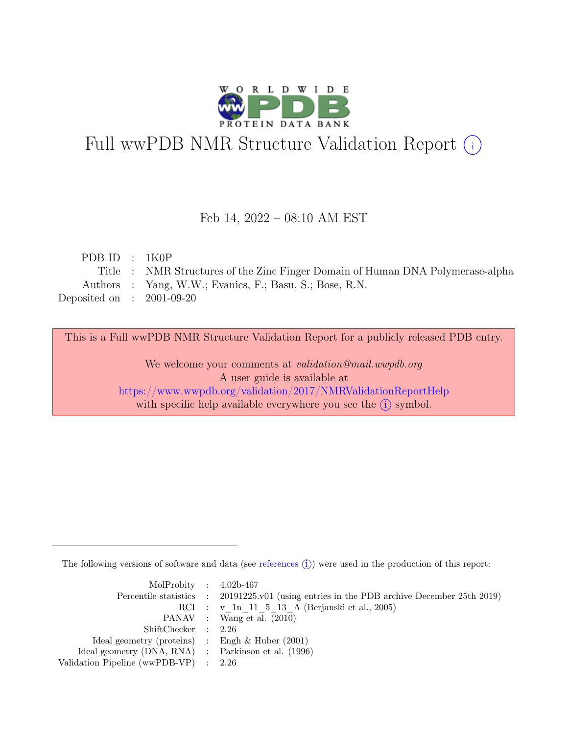

# Full wwPDB NMR Structure Validation Report (i)

#### Feb 14, 2022 – 08:10 AM EST

| PDBID : 1K0P                |                                                                                |
|-----------------------------|--------------------------------------------------------------------------------|
|                             | Title : NMR Structures of the Zinc Finger Domain of Human DNA Polymerase-alpha |
|                             | Authors : Yang, W.W.; Evanics, F.; Basu, S.; Bose, R.N.                        |
| Deposited on : $2001-09-20$ |                                                                                |

This is a Full wwPDB NMR Structure Validation Report for a publicly released PDB entry.

We welcome your comments at *validation@mail.wwpdb.org* A user guide is available at <https://www.wwpdb.org/validation/2017/NMRValidationReportHelp> with specific help available everywhere you see the  $(i)$  symbol.

The following versions of software and data (see [references](https://www.wwpdb.org/validation/2017/NMRValidationReportHelp#references)  $\hat{I}$ ) were used in the production of this report:

| MolProbity : $4.02b-467$                            |                                                                                            |
|-----------------------------------------------------|--------------------------------------------------------------------------------------------|
|                                                     | Percentile statistics : 20191225.v01 (using entries in the PDB archive December 25th 2019) |
|                                                     | RCI : v 1n 11 5 13 A (Berjanski et al., 2005)                                              |
|                                                     | PANAV : Wang et al. (2010)                                                                 |
| ShiftChecker : 2.26                                 |                                                                                            |
| Ideal geometry (proteins) : Engh $\&$ Huber (2001)  |                                                                                            |
| Ideal geometry (DNA, RNA) : Parkinson et al. (1996) |                                                                                            |
| Validation Pipeline (wwPDB-VP) $\therefore$ 2.26    |                                                                                            |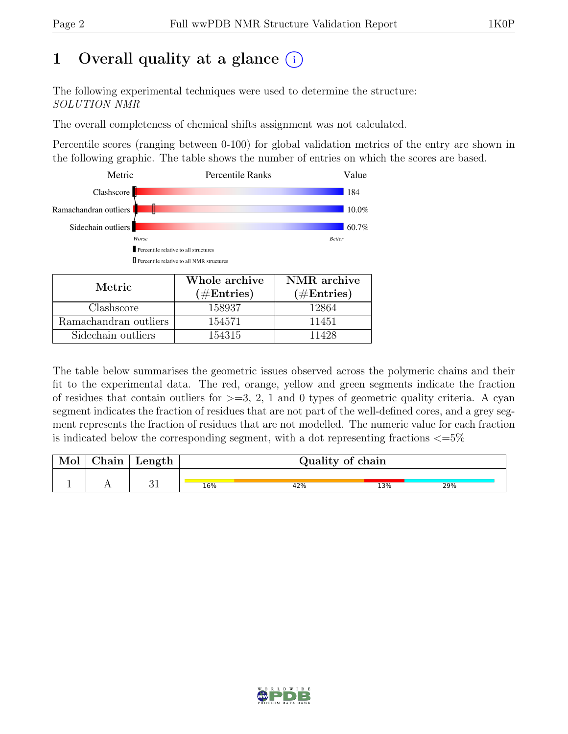## 1 Overall quality at a glance  $(i)$

The following experimental techniques were used to determine the structure: SOLUTION NMR

The overall completeness of chemical shifts assignment was not calculated.

Percentile scores (ranging between 0-100) for global validation metrics of the entry are shown in the following graphic. The table shows the number of entries on which the scores are based.



| Metric.               | Whole archive<br>$(\#Entries)$ | NMR archive<br>$(\#Entries)$ |
|-----------------------|--------------------------------|------------------------------|
| Clashscore            | 158937                         | 12864                        |
| Ramachandran outliers | 154571                         | 11451                        |
| Sidechain outliers    | 154315                         | 11428                        |

The table below summarises the geometric issues observed across the polymeric chains and their fit to the experimental data. The red, orange, yellow and green segments indicate the fraction of residues that contain outliers for  $>=$  3, 2, 1 and 0 types of geometric quality criteria. A cyan segment indicates the fraction of residues that are not part of the well-defined cores, and a grey segment represents the fraction of residues that are not modelled. The numeric value for each fraction is indicated below the corresponding segment, with a dot representing fractions  $\langle=5\%$ 

| Chain | Length     |     | Quality of chain |     |     |  |  |  |
|-------|------------|-----|------------------|-----|-----|--|--|--|
|       |            |     |                  |     |     |  |  |  |
|       | $\Omega$ 1 | 16% | 42%              | 13% | 29% |  |  |  |

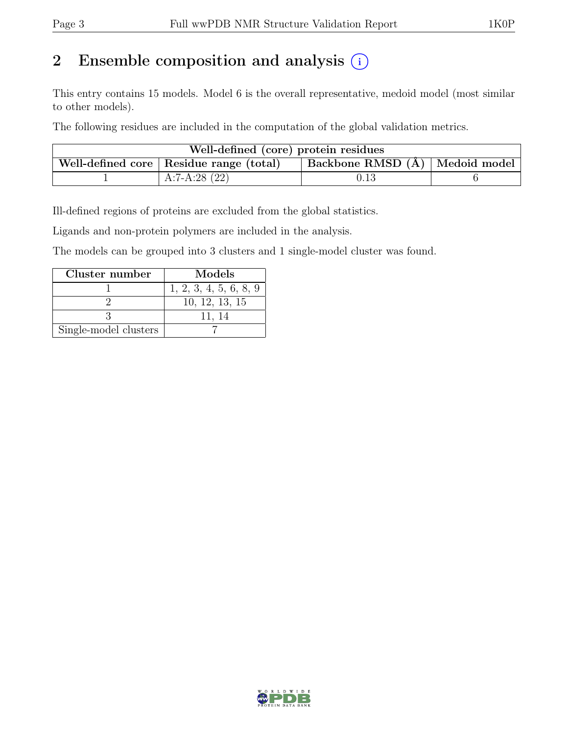## 2 Ensemble composition and analysis  $(i)$

This entry contains 15 models. Model 6 is the overall representative, medoid model (most similar to other models).

The following residues are included in the computation of the global validation metrics.

| Well-defined (core) protein residues |                                           |                                          |  |  |  |  |  |
|--------------------------------------|-------------------------------------------|------------------------------------------|--|--|--|--|--|
|                                      | Well-defined core   Residue range (total) | $\vert$ Backbone RMSD $(A)$ Medoid model |  |  |  |  |  |
|                                      | $A:7-A:28(22)$                            | 0.13                                     |  |  |  |  |  |

Ill-defined regions of proteins are excluded from the global statistics.

Ligands and non-protein polymers are included in the analysis.

The models can be grouped into 3 clusters and 1 single-model cluster was found.

| Cluster number        | Models                 |
|-----------------------|------------------------|
|                       | 1, 2, 3, 4, 5, 6, 8, 9 |
|                       | 10, 12, 13, 15         |
|                       | 11, 14                 |
| Single-model clusters |                        |

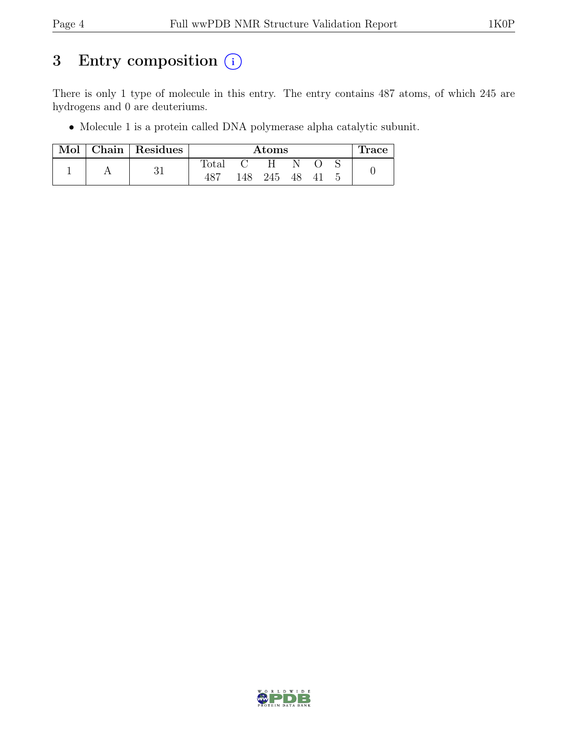## 3 Entry composition  $(i)$

There is only 1 type of molecule in this entry. The entry contains 487 atoms, of which 245 are hydrogens and 0 are deuteriums.

• Molecule 1 is a protein called DNA polymerase alpha catalytic subunit.

| Mol |  | $\vert$ Chain $\vert$ Residues | $\rm{Atoms}$   |      |     |    |     | <b>Trace</b> |  |
|-----|--|--------------------------------|----------------|------|-----|----|-----|--------------|--|
|     |  |                                | $_{\rm Total}$ |      | H   |    |     |              |  |
|     |  |                                | 487            | 148- | 245 | 48 | -41 |              |  |

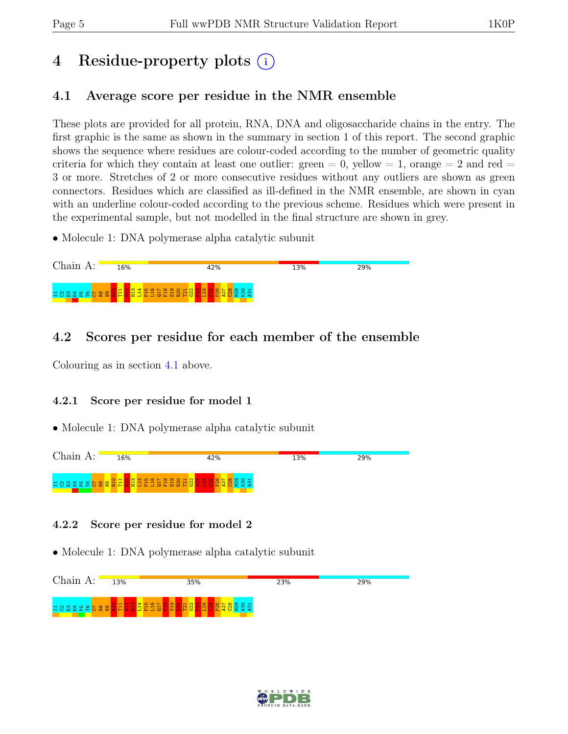## 4 Residue-property plots  $(i)$

## <span id="page-4-0"></span>4.1 Average score per residue in the NMR ensemble

These plots are provided for all protein, RNA, DNA and oligosaccharide chains in the entry. The first graphic is the same as shown in the summary in section 1 of this report. The second graphic shows the sequence where residues are colour-coded according to the number of geometric quality criteria for which they contain at least one outlier: green  $= 0$ , yellow  $= 1$ , orange  $= 2$  and red  $=$ 3 or more. Stretches of 2 or more consecutive residues without any outliers are shown as green connectors. Residues which are classified as ill-defined in the NMR ensemble, are shown in cyan with an underline colour-coded according to the previous scheme. Residues which were present in the experimental sample, but not modelled in the final structure are shown in grey.

• Molecule 1: DNA polymerase alpha catalytic subunit



### 4.2 Scores per residue for each member of the ensemble

Colouring as in section [4.1](#page-4-0) above.

#### 4.2.1 Score per residue for model 1

• Molecule 1: DNA polymerase alpha catalytic subunit



#### 4.2.2 Score per residue for model 2



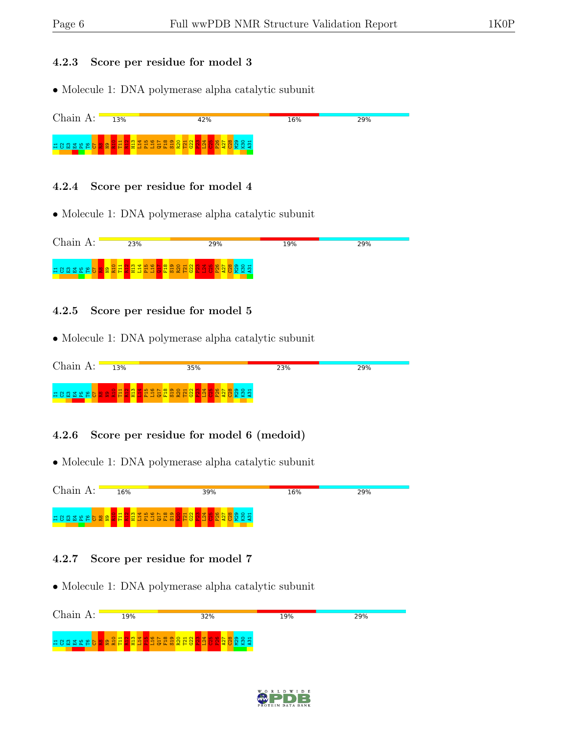#### 4.2.3 Score per residue for model 3

• Molecule 1: DNA polymerase alpha catalytic subunit



#### 4.2.4 Score per residue for model 4

• Molecule 1: DNA polymerase alpha catalytic subunit



#### 4.2.5 Score per residue for model 5

• Molecule 1: DNA polymerase alpha catalytic subunit



#### 4.2.6 Score per residue for model 6 (medoid)

• Molecule 1: DNA polymerase alpha catalytic subunit



#### 4.2.7 Score per residue for model 7



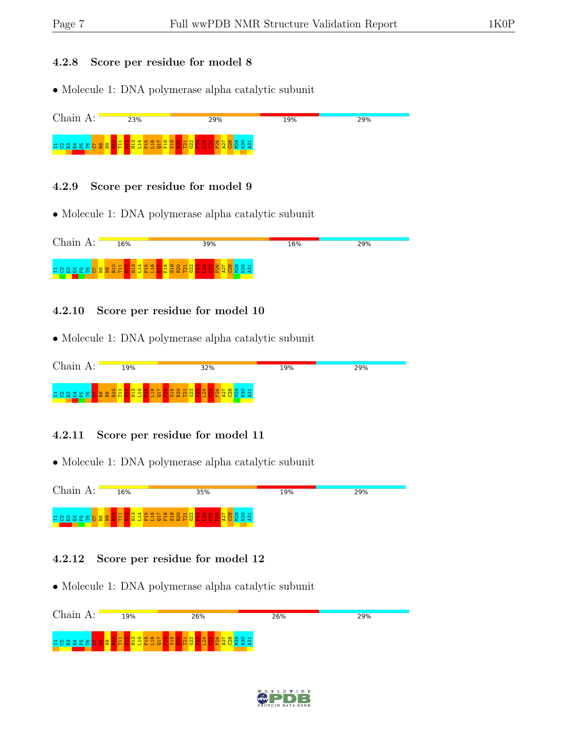#### 4.2.8 Score per residue for model 8

• Molecule 1: DNA polymerase alpha catalytic subunit



#### 4.2.9 Score per residue for model 9

• Molecule 1: DNA polymerase alpha catalytic subunit



#### 4.2.10 Score per residue for model 10

• Molecule 1: DNA polymerase alpha catalytic subunit



#### 4.2.11 Score per residue for model 11

• Molecule 1: DNA polymerase alpha catalytic subunit



#### 4.2.12 Score per residue for model 12



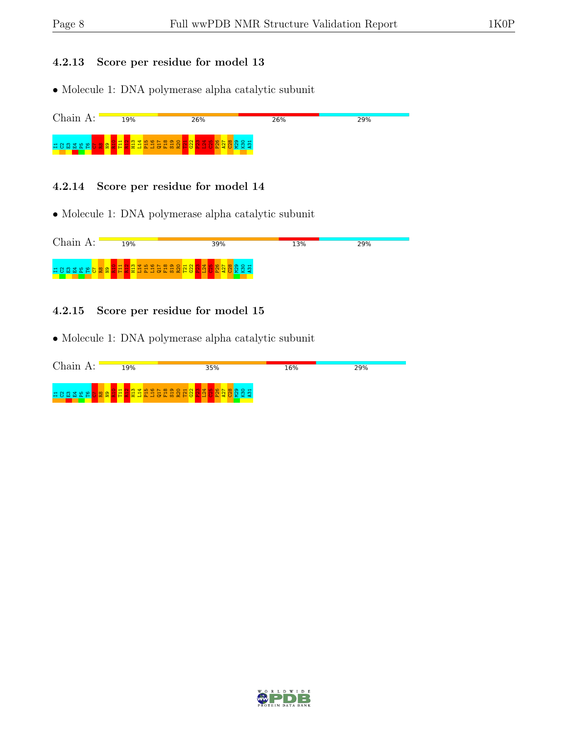#### 4.2.13 Score per residue for model 13

• Molecule 1: DNA polymerase alpha catalytic subunit



#### 4.2.14 Score per residue for model 14

• Molecule 1: DNA polymerase alpha catalytic subunit



#### 4.2.15 Score per residue for model 15



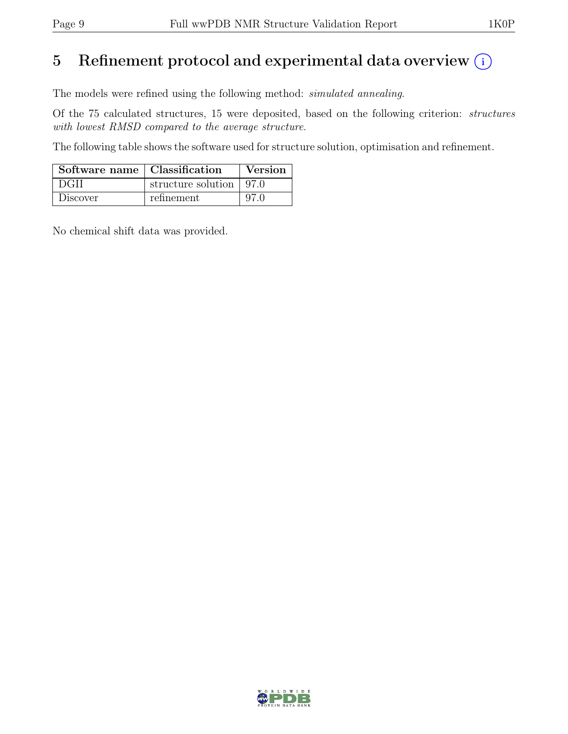## 5 Refinement protocol and experimental data overview  $(i)$

The models were refined using the following method: simulated annealing.

Of the 75 calculated structures, 15 were deposited, based on the following criterion: structures with lowest RMSD compared to the average structure.

The following table shows the software used for structure solution, optimisation and refinement.

| Software name   Classification |                           | Version |
|--------------------------------|---------------------------|---------|
| DGII                           | structure solution   97.0 |         |
| Discover                       | refinement.               | 97 A    |

No chemical shift data was provided.

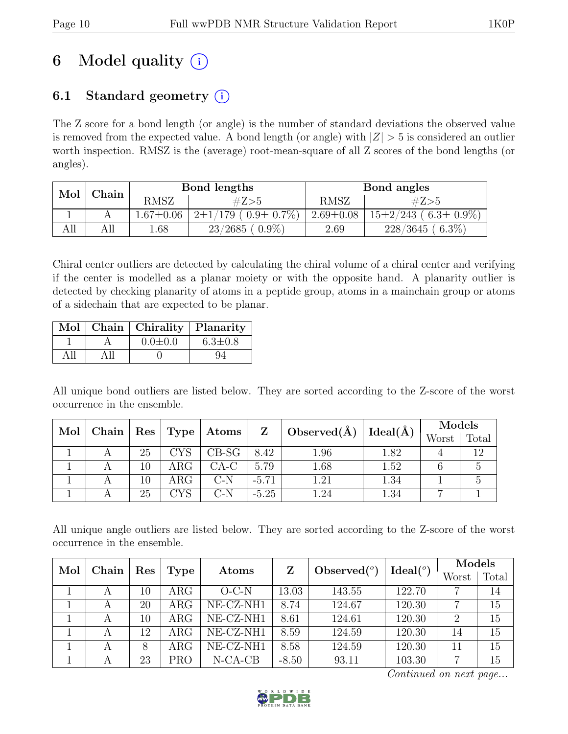## 6 Model quality  $(i)$

## 6.1 Standard geometry  $(i)$

The Z score for a bond length (or angle) is the number of standard deviations the observed value is removed from the expected value. A bond length (or angle) with  $|Z| > 5$  is considered an outlier worth inspection. RMSZ is the (average) root-mean-square of all Z scores of the bond lengths (or angles).

| Mol | ${\rm Chain}$ |                 | Bond lengths                       | Bond angles     |                               |  |
|-----|---------------|-----------------|------------------------------------|-----------------|-------------------------------|--|
|     |               | RMSZ            | #Z>5                               | <b>RMSZ</b>     | #Z>5                          |  |
|     |               | $1.67 \pm 0.06$ | $(179,(0.9\pm\,0.7\%)$<br>$2\pm1/$ | $2.69 \pm 0.08$ | $15\pm2/243$ (6.3 $\pm$ 0.9%) |  |
| ĄЦ  | All           | 0.68            | $(0.9\%)$<br>$23/2685$ (           | 2.69            | $6.3\%$<br>228/3645           |  |

Chiral center outliers are detected by calculating the chiral volume of a chiral center and verifying if the center is modelled as a planar moiety or with the opposite hand. A planarity outlier is detected by checking planarity of atoms in a peptide group, atoms in a mainchain group or atoms of a sidechain that are expected to be planar.

|  | Mol   Chain   Chirality   Planarity |               |
|--|-------------------------------------|---------------|
|  | $0.0 \pm 0.0$                       | $6.3 \pm 0.8$ |
|  |                                     |               |

All unique bond outliers are listed below. They are sorted according to the Z-score of the worst occurrence in the ensemble.

| Mol | Chain | $\operatorname{Res}$ |              |                               | $\mathbf{Z}$ | Observed $(\AA)$ | Ideal( $\AA$ ) | Models |       |
|-----|-------|----------------------|--------------|-------------------------------|--------------|------------------|----------------|--------|-------|
|     |       |                      | Type         | $\boldsymbol{\mathrm{Atoms}}$ |              |                  |                | Worst  | Total |
|     |       | 25                   | <b>CYS</b>   | $CB-SG$                       | 8.42         | 1.96             | $1.82\,$       |        |       |
|     |       | 10                   | $\rm{ARG}$   | $CA-C$                        | 5.79         | 1.68             | 1.52           |        |       |
|     |       | 10                   | $\rm{ARG}$   | C-N                           | $-5.71$      | $1.21\,$         | 1.34           |        |       |
|     |       | 25                   | $_{\rm CYS}$ | $C-N$                         | $-5.25$      | .24              | 1.34           |        |       |

All unique angle outliers are listed below. They are sorted according to the Z-score of the worst occurrence in the ensemble.

| Chain<br>Mol |                                  |            |                |                      |        |        | Models |    |
|--------------|----------------------------------|------------|----------------|----------------------|--------|--------|--------|----|
|              | Ζ<br>Res<br><b>Type</b><br>Atoms |            | Observed $(°)$ | Ideal <sup>(o)</sup> | Worst  | Total  |        |    |
| A            | 10                               | $\rm{ARG}$ | $O-C-N$        | 13.03                | 143.55 | 122.70 | 7      | 14 |
|              | 20                               | $\rm{ARG}$ | NE-CZ-NH1      | 8.74                 | 124.67 | 120.30 | 7      | 15 |
|              | 10                               | $\rm{ARG}$ | NE-CZ-NH1      | 8.61                 | 124.61 | 120.30 | 2      | 15 |
|              | 12                               | $\rm{ARG}$ | NE-CZ-NH1      | 8.59                 | 124.59 | 120.30 | 14     | 15 |
|              | 8                                | $\rm{ARG}$ | NE-CZ-NH1      | 8.58                 | 124.59 | 120.30 | 11     | 15 |
| А            | 23                               | <b>PRO</b> | $N-CA-CB$      | $-8.50$              | 93.11  | 103.30 | 7      | 15 |

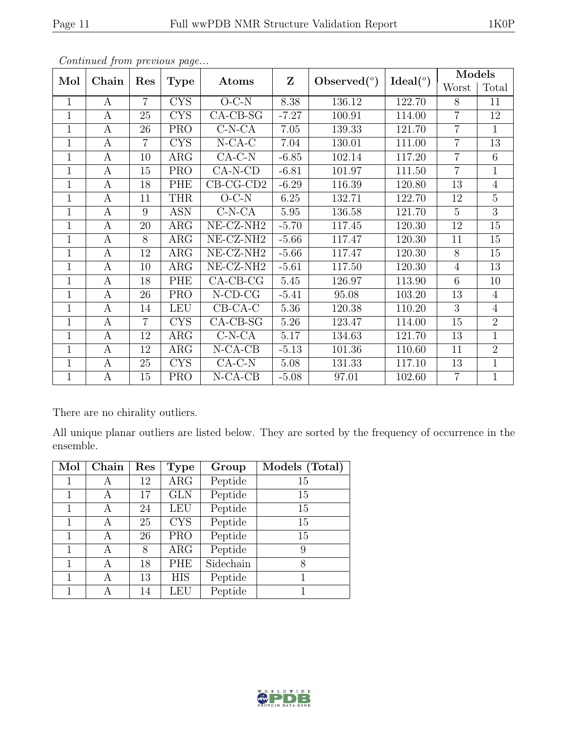|                | Continuale from previous page |                |             |                       |              |                |                    | Models          |                 |
|----------------|-------------------------------|----------------|-------------|-----------------------|--------------|----------------|--------------------|-----------------|-----------------|
| Mol            | Chain                         | Res            | <b>Type</b> | Atoms                 | $\mathbf{Z}$ | Observed $(°)$ | Ideal <sup>o</sup> | Worst           | Total           |
| $\mathbf{1}$   | $\mathbf{A}$                  | $\overline{7}$ | <b>CYS</b>  | $O-C-N$               | 8.38         | 136.12         | 122.70             | 8               | 11              |
| $\mathbf{1}$   | $\boldsymbol{A}$              | 25             | <b>CYS</b>  | $CA-CB-SG$            | $-7.27$      | 100.91         | 114.00             | $\overline{7}$  | 12              |
| $\mathbf{1}$   | A                             | 26             | <b>PRO</b>  | $C-N-CA$              | 7.05         | 139.33         | 121.70             | $\overline{7}$  | $\mathbf{1}$    |
| $\mathbf{1}$   | $\boldsymbol{A}$              | $\overline{7}$ | <b>CYS</b>  | $N$ -CA-C             | 7.04         | 130.01         | 111.00             | $\overline{7}$  | 13              |
| $\mathbf{1}$   | $\boldsymbol{A}$              | 10             | ARG         | $CA-C-N$              | $-6.85$      | 102.14         | 117.20             | $\overline{7}$  | $6\phantom{.}6$ |
| $\overline{1}$ | $\mathbf{A}$                  | 15             | <b>PRO</b>  | $CA-N-CD$             | $-6.81$      | 101.97         | 111.50             | $\overline{7}$  | $\overline{1}$  |
| $\mathbf{1}$   | $\boldsymbol{A}$              | 18             | PHE         | $CB-CG-CD2$           | $-6.29$      | 116.39         | 120.80             | 13              | $\overline{4}$  |
| $\mathbf{1}$   | A                             | 11             | <b>THR</b>  | $O-C-N$               | 6.25         | 132.71         | 122.70             | 12              | $\overline{5}$  |
| $\mathbf{1}$   | $\boldsymbol{A}$              | 9              | <b>ASN</b>  | $C-N-CA$              | 5.95         | 136.58         | 121.70             | $\overline{5}$  | $\overline{3}$  |
| $\mathbf{1}$   | A                             | 20             | ARG         | $NE- CZ-NH2$          | $-5.70$      | 117.45         | 120.30             | 12              | $15\,$          |
| $\overline{1}$ | A                             | 8              | ARG         | NE-CZ-NH <sub>2</sub> | $-5.66$      | 117.47         | 120.30             | 11              | $\overline{15}$ |
| $\mathbf{1}$   | A                             | 12             | ARG         | NE-CZ-NH <sub>2</sub> | $-5.66$      | 117.47         | 120.30             | 8               | 15              |
| $\mathbf{1}$   | $\boldsymbol{A}$              | 10             | ARG         | $NE- CZ-NH2$          | $-5.61$      | 117.50         | 120.30             | $\overline{4}$  | 13              |
| $\mathbf{1}$   | A                             | 18             | PHE         | $CA-CB-CG$            | 5.45         | 126.97         | 113.90             | $6\phantom{.}6$ | 10              |
| $\mathbf{1}$   | A                             | 26             | <b>PRO</b>  | $N$ -CD-CG            | $-5.41$      | 95.08          | 103.20             | $13\,$          | $\overline{4}$  |
| $\mathbf{1}$   | $\boldsymbol{A}$              | 14             | <b>LEU</b>  | $CB-CA-C$             | 5.36         | 120.38         | 110.20             | $\overline{3}$  | $\overline{4}$  |
| $\mathbf{1}$   | $\mathbf{A}$                  | $\overline{7}$ | <b>CYS</b>  | $CA-CB-SG$            | 5.26         | 123.47         | 114.00             | 15              | $\overline{2}$  |
| $\mathbf{1}$   | A                             | 12             | ARG         | $C-N-CA$              | 5.17         | 134.63         | 121.70             | 13              | $\overline{1}$  |
| $\mathbf{1}$   | A                             | 12             | $\rm{ARG}$  | $N-CA-CB$             | $-5.13$      | 101.36         | 110.60             | 11              | $\overline{2}$  |
| $\mathbf{1}$   | A                             | 25             | <b>CYS</b>  | $CA-C-N$              | 5.08         | 131.33         | 117.10             | 13              | $\mathbf{1}$    |
| $\mathbf{1}$   | A                             | 15             | <b>PRO</b>  | $N-CA-CB$             | $-5.08$      | 97.01          | 102.60             | $\overline{7}$  | $\mathbf{1}$    |

There are no chirality outliers.

All unique planar outliers are listed below. They are sorted by the frequency of occurrence in the ensemble.

| Mol          | Chain | Res | <b>Type</b> | Group     | Models (Total) |
|--------------|-------|-----|-------------|-----------|----------------|
|              |       | 12  | $\rm{ARG}$  | Peptide   | 15             |
| 1            | А     | 17  | <b>GLN</b>  | Peptide   | 15             |
| 1            | А     | 24  | LEU         | Peptide   | 15             |
| 1            | А     | 25  | <b>CYS</b>  | Peptide   | 15             |
| 1            | А     | 26  | <b>PRO</b>  | Peptide   | 15             |
| 1            | А     | 8   | ARG         | Peptide   | 9              |
| $\mathbf{1}$ | А     | 18  | PHE         | Sidechain | 8              |
| 1            | А     | 13  | <b>HIS</b>  | Peptide   |                |
|              |       | 14  | LEU         | Peptide   |                |

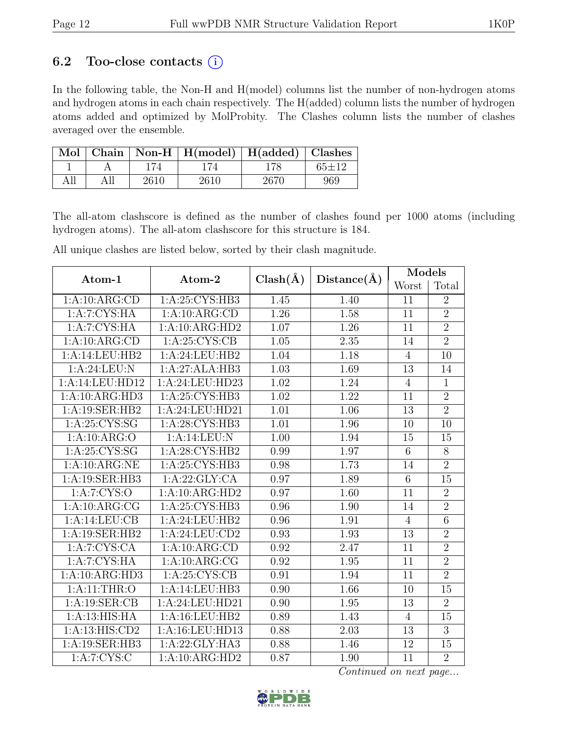## 6.2 Too-close contacts  $(i)$

In the following table, the Non-H and H(model) columns list the number of non-hydrogen atoms and hydrogen atoms in each chain respectively. The H(added) column lists the number of hydrogen atoms added and optimized by MolProbity. The Clashes column lists the number of clashes averaged over the ensemble.

|  |      | Mol   Chain   Non-H   H(model)   H(added)   Clashes |      |         |
|--|------|-----------------------------------------------------|------|---------|
|  |      |                                                     | 178. | $65+12$ |
|  | 2610 | 2610                                                | 2670 | 969     |

The all-atom clashscore is defined as the number of clashes found per 1000 atoms (including hydrogen atoms). The all-atom clashscore for this structure is 184.

All unique clashes are listed below, sorted by their clash magnitude.

| Atom-1          | Atom-2           | $Clash(\AA)$      | Distance(A) | Models         |                 |
|-----------------|------------------|-------------------|-------------|----------------|-----------------|
|                 |                  |                   |             | Worst          | Total           |
| 1:A:10:ARG:CD   | 1:A:25:CYS:HB3   | 1.45              | 1.40        | 11             | $\overline{2}$  |
| 1:A:7:CYS:HA    | 1:A:10:ARG:CD    | 1.26              | 1.58        | 11             | $\overline{2}$  |
| 1:A:7:CYS:HA    | 1:A:10:ARG:HD2   | 1.07              | 1.26        | 11             | $\overline{2}$  |
| 1:A:10:ARG:CD   | 1: A:25: CYS:CB  | 1.05              | 2.35        | 14             | $\overline{2}$  |
| 1:A:14:LEU:HB2  | 1:A:24:LEU:HB2   | 1.04              | 1.18        | $\overline{4}$ | 10              |
| 1:A:24:LEU:N    | 1:A:27:ALA:HB3   | 1.03              | 1.69        | 13             | 14              |
| 1:A:14:LEU:HD12 | 1:A:24:LEU:HD23  | $\overline{1.02}$ | 1.24        | $\overline{4}$ | $\mathbf{1}$    |
| 1:A:10:ARG:HD3  | 1: A:25: CYS:HB3 | 1.02              | 1.22        | 11             | $\overline{2}$  |
| 1:A:19:SER:HB2  | 1:A:24:LEU:HD21  | 1.01              | 1.06        | 13             | $\overline{2}$  |
| 1: A:25: CYS:SG | 1:A:28:CYS:HB3   | 1.01              | 1.96        | 10             | 10              |
| 1:A:10:ARG:O    | 1:A:14:LEU:N     | 1.00              | 1.94        | 15             | 15              |
| 1: A:25:CYS:SG  | 1: A:28:CYS:HB2  | 0.99              | 1.97        | $\overline{6}$ | $\overline{8}$  |
| 1:A:10:ARG:NE   | 1:A:25:CYS:HB3   | 0.98              | 1.73        | 14             | $\overline{2}$  |
| 1:A:19:SER:HB3  | 1:A:22:GLY:CA    | 0.97              | 1.89        | $\overline{6}$ | $\overline{15}$ |
| 1: A: 7: CYS: O | 1:A:10:ARG:HD2   | 0.97              | 1.60        | 11             | $\overline{2}$  |
| 1:A:10:ARG:CG   | 1: A:25: CYS:HB3 | 0.96              | 1.90        | 14             | $\overline{2}$  |
| 1:A:14:LEU:CB   | 1:A:24:LEU:HB2   | 0.96              | 1.91        | $\overline{4}$ | $\overline{6}$  |
| 1:A:19:SER:HB2  | 1:A:24:LEU:CD2   | 0.93              | 1.93        | 13             | $\overline{2}$  |
| 1:A:7:CYS:CA    | 1:A:10:ARG:CD    | 0.92              | 2.47        | 11             | $\overline{2}$  |
| 1:A:7:CYS:HA    | 1:A:10:ARG:CG    | 0.92              | 1.95        | 11             | $\overline{2}$  |
| 1:A:10:ARG:HD3  | 1: A:25: CYS:CB  | 0.91              | 1.94        | 11             | $\overline{2}$  |
| 1: A:11:THR:O   | 1:A:14:LEU:HB3   | 0.90              | 1.66        | 10             | 15              |
| 1:A:19:SER:CB   | 1:A:24:LEU:HD21  | 0.90              | 1.95        | 13             | $\overline{2}$  |
| 1:A:13:HIS:HA   | 1:A:16:LEU:HB2   | 0.89              | 1.43        | $\overline{4}$ | 15              |
| 1:A:13:HIS:CD2  | 1:A:16:LEU:HD13  | 0.88              | 2.03        | 13             | 3               |
| 1:A:19:SER:HB3  | 1:A:22:GLY:HA3   | 0.88              | 1.46        | 12             | 15              |
| 1:A:7:CYS:C     | 1:A:10:ARG:HD2   | 0.87              | 1.90        | 11             | $\overline{2}$  |

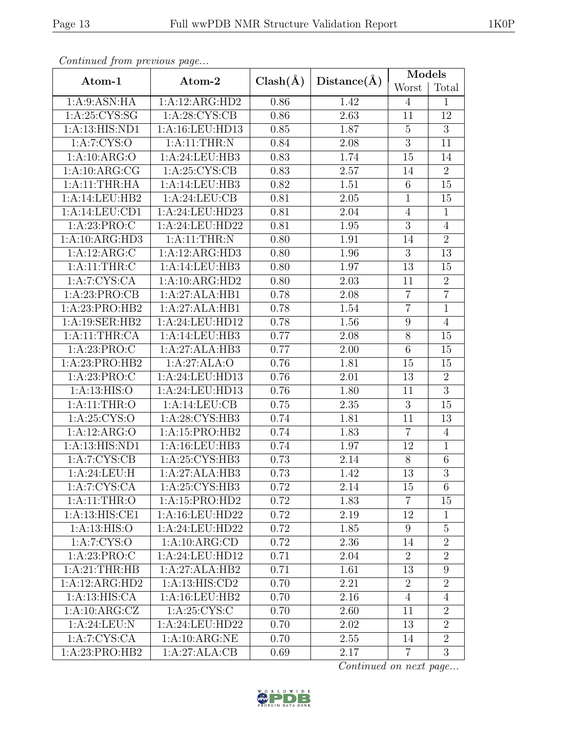| $P$ . The second second $P$ is the second second second second second second second second second second second second second second second second second second second second second second second second second second seco |                   |              |             | Models           |                |  |
|-------------------------------------------------------------------------------------------------------------------------------------------------------------------------------------------------------------------------------|-------------------|--------------|-------------|------------------|----------------|--|
| Atom-1                                                                                                                                                                                                                        | Atom-2            | $Clash(\AA)$ | Distance(A) | Worst            | Total          |  |
| 1: A:9: ASN: HA                                                                                                                                                                                                               | 1:A:12:ARG:HD2    | 0.86         | 1.42        | $\overline{4}$   | $\mathbf{1}$   |  |
| 1: A:25: CYS:SG                                                                                                                                                                                                               | 1: A:28: CYS:CB   | 0.86         | 2.63        | 11               | 12             |  |
| 1:A:13:HIS:ND1                                                                                                                                                                                                                | 1:A:16:LEU:HD13   | 0.85         | 1.87        | $\overline{5}$   | $\overline{3}$ |  |
| 1: A: 7: CYS: O                                                                                                                                                                                                               | 1: A:11:THR:N     | 0.84         | 2.08        | $\overline{3}$   | 11             |  |
| 1:A:10:ARG:O                                                                                                                                                                                                                  | 1:A:24:LEU:HB3    | 0.83         | 1.74        | 15               | 14             |  |
| 1:A:10:ARG:CG                                                                                                                                                                                                                 | 1: A:25: CYS:CB   | 0.83         | 2.57        | 14               | $\overline{2}$ |  |
| 1:A:11:THR:HA                                                                                                                                                                                                                 | 1:A:14:LEU:HB3    | 0.82         | 1.51        | 6                | 15             |  |
| 1:A:14:LEU:HB2                                                                                                                                                                                                                | 1:A:24:LEU:CB     | 0.81         | 2.05        | $\mathbf{1}$     | 15             |  |
| 1:A:14:LEU:CD1                                                                                                                                                                                                                | 1:A:24:LEU:HD23   | 0.81         | 2.04        | $\overline{4}$   | $\mathbf{1}$   |  |
| 1: A:23: PRO:C                                                                                                                                                                                                                | 1:A:24:LEU:HD22   | 0.81         | 1.95        | $\mathfrak{Z}$   | $\overline{4}$ |  |
| 1:A:10:ARG:HD3                                                                                                                                                                                                                | 1:A:11:THR:N      | 0.80         | 1.91        | 14               | $\overline{2}$ |  |
| 1:A:12:ARG:C                                                                                                                                                                                                                  | 1:A:12:ARG:HD3    | 0.80         | 1.96        | 3                | 13             |  |
| 1: A:11:THR: C                                                                                                                                                                                                                | 1:A:14:LEU:HB3    | 0.80         | 1.97        | 13               | 15             |  |
| 1:A:7:CYS:CA                                                                                                                                                                                                                  | 1:A:10:ARG:HD2    | 0.80         | 2.03        | 11               | $\overline{2}$ |  |
| 1:A:23:PRO:CB                                                                                                                                                                                                                 | 1:A:27:ALA:HB1    | 0.78         | 2.08        | $\overline{7}$   | $\overline{7}$ |  |
| 1:A:23:PRO:HB2                                                                                                                                                                                                                | 1:A:27:ALA:HB1    | 0.78         | 1.54        | $\overline{7}$   | $\mathbf{1}$   |  |
| 1:A:19:SER:HB2                                                                                                                                                                                                                | 1:A:24:LEU:HD12   | 0.78         | 1.56        | $\boldsymbol{9}$ | $\overline{4}$ |  |
| 1:A:11:THR:CA                                                                                                                                                                                                                 | 1:A:14:LEU:HB3    | 0.77         | 2.08        | $\overline{8}$   | 15             |  |
| 1: A:23: PRO:C                                                                                                                                                                                                                | 1:A:27:ALA:HB3    | 0.77         | 2.00        | $\,6\,$          | 15             |  |
| 1:A:23:PRO:HB2                                                                                                                                                                                                                | 1:A:27:ALA:O      | 0.76         | 1.81        | 15               | 15             |  |
| 1: A:23: PRO:C                                                                                                                                                                                                                | 1:A:24:LEU:HD13   | 0.76         | 2.01        | 13               | $\sqrt{2}$     |  |
| 1: A:13: HIS:O                                                                                                                                                                                                                | 1:A:24:LEU:HD13   | 0.76         | 1.80        | 11               | $\overline{3}$ |  |
| 1: A:11:THR:O                                                                                                                                                                                                                 | 1:A:14:LEU:CB     | 0.75         | $2.35\,$    | $\overline{3}$   | 15             |  |
| 1:A:25:CYS:O                                                                                                                                                                                                                  | 1:A:28:CYS:HB3    | 0.74         | 1.81        | 11               | 13             |  |
| 1:A:12:ARG:O                                                                                                                                                                                                                  | 1:A:15:PRO:HB2    | 0.74         | 1.83        | $\overline{7}$   | $\overline{4}$ |  |
| 1:A:13:HIS:ND1                                                                                                                                                                                                                | 1:A:16:LEU:HB3    | 0.74         | 1.97        | 12               | $\mathbf{1}$   |  |
| 1:A:7:CYS:CB                                                                                                                                                                                                                  | 1:A:25:CYS:HB3    | 0.73         | 2.14        | 8                | $\sqrt{6}$     |  |
| 1:A:24:LEU:H                                                                                                                                                                                                                  | 1:A:27:ALA:HB3    | 0.73         | 1.42        | 13               | $\overline{3}$ |  |
| 1: A: 7: CYS: CA                                                                                                                                                                                                              | 1:A:25:CYS:HB3    | 0.72         | 2.14        | 15               | 6              |  |
| 1:A:11:THR:O                                                                                                                                                                                                                  | 1:A:15:PRO:HD2    | 0.72         | 1.83        | $\overline{7}$   | 15             |  |
| 1:A:13:HIS:CE1                                                                                                                                                                                                                | 1:A:16:LEU:HD22   | 0.72         | 2.19        | 12               | $\mathbf 1$    |  |
| 1: A:13: HIS:O                                                                                                                                                                                                                | 1:A:24:LEU:HD22   | 0.72         | 1.85        | 9                | $\overline{5}$ |  |
| 1:A:7:CYS:O                                                                                                                                                                                                                   | 1:A:10:ARG:CD     | 0.72         | 2.36        | 14               | $\overline{2}$ |  |
| 1: A:23: PRO:C                                                                                                                                                                                                                | 1:A:24:LEU:HD12   | 0.71         | 2.04        | $\overline{2}$   | $\overline{2}$ |  |
| 1:A:21:THR:HB                                                                                                                                                                                                                 | 1:A:27:ALA:HB2    | 0.71         | 1.61        | 13               | 9              |  |
| 1:A:12:ARG:HD2                                                                                                                                                                                                                | 1: A:13: HIS: CD2 | 0.70         | 2.21        | $\overline{2}$   | $\overline{2}$ |  |
| 1:A:13:HIS:CA                                                                                                                                                                                                                 | 1: A:16: LEU:HB2  | 0.70         | 2.16        | $\overline{4}$   | $\overline{4}$ |  |
| 1:A:10:ARG:CZ                                                                                                                                                                                                                 | 1:A:25:CYS:C      | 0.70         | 2.60        | 11               | $\overline{2}$ |  |
| 1:A:24:LEU:N                                                                                                                                                                                                                  | 1:A:24:LEU:HD22   | 0.70         | 2.02        | 13               | $\overline{2}$ |  |
| 1:A:7:CYS:CA                                                                                                                                                                                                                  | 1:A:10:ARG:NE     | 0.70         | 2.55        | 14               | $\overline{2}$ |  |
| 1:A:23:PRO:HB2                                                                                                                                                                                                                | 1:A:27:ALA:CB     | 0.69         | 2.17        | $\overline{7}$   | 3              |  |

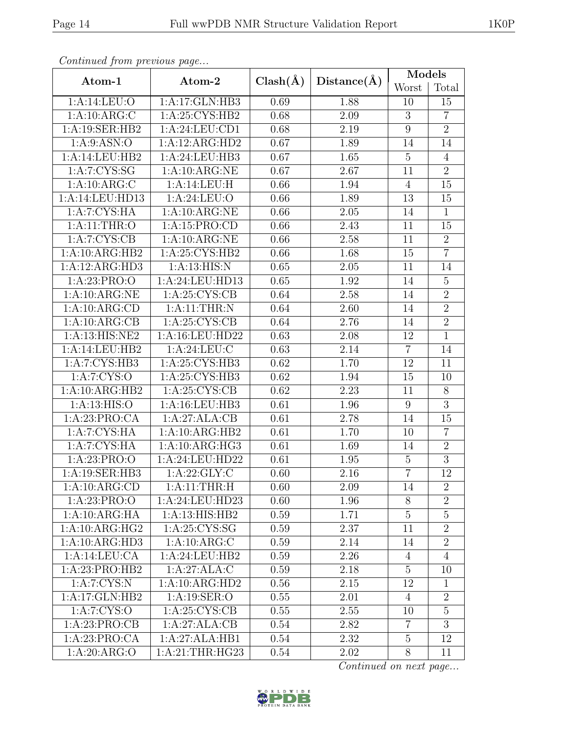|                            |                  |              |             | Models           |                 |
|----------------------------|------------------|--------------|-------------|------------------|-----------------|
| Atom-1                     | Atom-2           | $Clash(\AA)$ | Distance(A) | Worst            | Total           |
| 1: A:14:LEU:O              | 1:A:17:GLN:HB3   | 0.69         | 1.88        | 10               | 15              |
| 1:A:10:ARG:C               | 1: A:25: CYS:HB2 | 0.68         | 2.09        | 3                | $\overline{7}$  |
| 1:A:19:SER:HB2             | 1:A:24:LEU:CD1   | 0.68         | 2.19        | $9\phantom{.0}$  | $\overline{2}$  |
| 1: A:9: ASN:O              | 1:A:12:ARG:HD2   | 0.67         | 1.89        | 14               | 14              |
| 1:A:14:LEU:HB2             | 1:A:24:LEU:HB3   | 0.67         | 1.65        | $\overline{5}$   | $\overline{4}$  |
| 1: A:7:CYS:SG              | 1:A:10:ARG:NE    | 0.67         | 2.67        | 11               | $\overline{2}$  |
| 1:A:10:ARG:C               | 1:A:14:LEU:H     | 0.66         | 1.94        | $\overline{4}$   | 15              |
| 1:A:14:LEU:HD13            | 1: A:24:LEU:O    | 0.66         | 1.89        | 13               | 15              |
| 1:A:7:CYS:HA               | 1:A:10:ARG:NE    | 0.66         | 2.05        | 14               | $\mathbf{1}$    |
| 1: A:11:THR:O              | 1:A:15:PRO:CD    | 0.66         | 2.43        | 11               | 15              |
| 1: A: 7: CYS: CB           | 1:A:10:ARG:NE    | 0.66         | 2.58        | 11               | $\overline{2}$  |
| 1:A:10:ARG:HB2             | 1:A:25:CYS:HB2   | 0.66         | 1.68        | 15               | $\overline{7}$  |
| 1:A:12:ARG:HD3             | 1:A:13:HIS:N     | 0.65         | 2.05        | 11               | 14              |
| 1: A:23: PRO:O             | 1:A:24:LEU:HD13  | 0.65         | 1.92        | 14               | $\overline{5}$  |
| 1:A:10:ARG:NE              | 1: A:25: CYS:CB  | 0.64         | 2.58        | 14               | $\overline{2}$  |
| 1:A:10:ARG:CD              | 1:A:11:THR:N     | 0.64         | 2.60        | 14               | $\overline{2}$  |
| 1:A:10:ARG:CB              | 1: A:25: CYS:CB  | 0.64         | 2.76        | 14               | $\overline{2}$  |
| 1:A:13:HIS:NE2             | 1:A:16:LEU:HD22  | 0.63         | 2.08        | 12               | $\overline{1}$  |
| 1:A:14:LEU:HB2             | 1: A:24:LEU:C    | 0.63         | 2.14        | $\overline{7}$   | 14              |
| $1:A:7:CYS:\overline{HB3}$ | 1:A:25:CYS:HB3   | 0.62         | 1.70        | 12               | 11              |
| 1:A:7:CYS:O                | 1:A:25:CYS:HB3   | 0.62         | 1.94        | 15               | 10              |
| 1:A:10:ARG:HB2             | 1: A:25: CYS:CB  | 0.62         | 2.23        | 11               | 8               |
| 1: A:13: HIS:O             | 1:A:16:LEU:HB3   | 0.61         | 1.96        | $\boldsymbol{9}$ | $\overline{3}$  |
| 1:A:23:PRO:CA              | 1:A:27:ALA:CB    | 0.61         | 2.78        | 14               | 15              |
| 1:A:7:CYS:HA               | 1:A:10:ARG:HB2   | 0.61         | 1.70        | 10               | $\overline{7}$  |
| 1:A:7:CYS:HA               | 1:A:10:ARG:HG3   | 0.61         | 1.69        | 14               | $\overline{2}$  |
| 1:A:23:PRO:O               | 1:A:24:LEU:HD22  | 0.61         | 1.95        | $\overline{5}$   | $\overline{3}$  |
| 1:A:19:SER:HB3             | 1: A:22: GLY: C  | 0.60         | 2.16        | $\overline{7}$   | $\overline{12}$ |
| 1:A:10:ARG:CD              | 1: A:11:THR:H    | 0.60         | 2.09        | 14               | $\overline{2}$  |
| 1: A:23: PRO:O             | 1:A:24:LEU:HD23  | 0.60         | 1.96        | 8                | $\overline{2}$  |
| 1:A:10:ARG:HA              | 1:A:13:HIS:HB2   | $0.59\,$     | 1.71        | $\overline{5}$   | $\overline{5}$  |
| 1:A:10:ARG:HG2             | 1:A:25:CYS:SG    | 0.59         | 2.37        | 11               | $\overline{2}$  |
| 1:A:10:ARG:HD3             | 1:A:10:ARG:C     | 0.59         | 2.14        | 14               | $\overline{2}$  |
| 1:A:14:LEU:CA              | 1:A:24:LEU:HB2   | 0.59         | 2.26        | 4                | $\overline{4}$  |
| 1:A:23:PRO:HB2             | 1:A:27:ALA:C     | 0.59         | 2.18        | $\overline{5}$   | 10              |
| 1:A:7:CYS:N                | 1:A:10:ARG:HD2   | 0.56         | 2.15        | 12               | $\mathbf{1}$    |
| 1:A:17:GLN:HB2             | 1:A:19:SER:O     | 0.55         | 2.01        | $\overline{4}$   | $\overline{2}$  |
| 1:A:7:CYS:O                | 1: A:25: CYS:CB  | 0.55         | 2.55        | 10               | $\overline{5}$  |
| 1:A:23:PRO:CB              | 1:A:27:ALA:CB    | 0.54         | 2.82        | $\overline{7}$   | 3               |
| 1:A:23:PRO:CA              | 1:A:27:ALA:HB1   | 0.54         | 2.32        | $\overline{5}$   | 12              |
| 1:A:20:ARG:O               | 1:A:21:THR:HG23  | 0.54         | 2.02        | 8                | 11              |

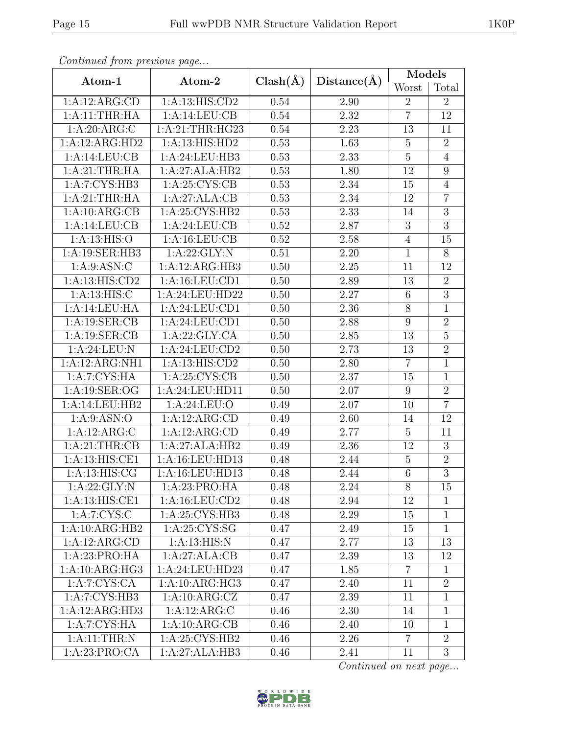|                           |                    |              |                   | Models          |                  |  |
|---------------------------|--------------------|--------------|-------------------|-----------------|------------------|--|
| Atom-1                    | Atom-2             | $Clash(\AA)$ | Distance(A)       | Worst           | Total            |  |
| 1:A:12:ARG:CD             | 1:A:13:HIS:CD2     | 0.54         | 2.90              | $\overline{2}$  | $\overline{2}$   |  |
| 1:A:11:THR:HA             | 1:A:14:LEU:CB      | 0.54         | 2.32              | $\overline{7}$  | 12               |  |
| 1:A:20:ARG:C              | 1: A:21:THR:HG23   | 0.54         | 2.23              | 13              | 11               |  |
| 1:A:12:ARG:HD2            | 1:A:13:HIS:HD2     | 0.53         | 1.63              | $\overline{5}$  | $\overline{2}$   |  |
| 1:A:14:LEU:CB             | 1:A:24:LEU:HB3     | 0.53         | $\overline{2.33}$ | $\overline{5}$  | $\overline{4}$   |  |
| 1:A:21:THR:HA             | 1:A:27:ALA:HB2     | 0.53         | 1.80              | 12              | $\boldsymbol{9}$ |  |
| 1:A:7:CYS:HB3             | 1: A:25: CYS:CB    | 0.53         | 2.34              | 15              | $\overline{4}$   |  |
| 1:A:21:THR:HA             | 1:A:27:ALA:CB      | 0.53         | 2.34              | 12              | $\overline{7}$   |  |
| 1:A:10:ARG:CB             | 1: A:25:CYS:HB2    | 0.53         | 2.33              | 14              | $\overline{3}$   |  |
| 1:A:14:LEU:CB             | 1:A:24:LEU:CB      | 0.52         | 2.87              | 3               | $\overline{3}$   |  |
| 1: A:13: HIS:O            | 1:A:16:LEU:CB      | 0.52         | 2.58              | $\overline{4}$  | 15               |  |
| 1:A:19:SER:HB3            | 1: A:22: GLY:N     | 0.51         | 2.20              | $\mathbf{1}$    | 8                |  |
| 1: A:9: ASN: C            | 1:A:12:ARG:HB3     | 0.50         | 2.25              | 11              | 12               |  |
| 1:A:13:HIS:CD2            | 1: A: 16: LEU: CD1 | 0.50         | 2.89              | 13              | $\overline{2}$   |  |
| 1: A:13: HIS: C           | 1:A:24:LEU:HD22    | 0.50         | 2.27              | $6\phantom{.}6$ | $\overline{3}$   |  |
| 1:A:14:LEU:HA             | 1:A:24:LEU:CD1     | 0.50         | $\overline{2.36}$ | $8\,$           | $\mathbf{1}$     |  |
| 1: A: 19: SER: CB         | 1:A:24:LEU:CD1     | 0.50         | 2.88              | $9\phantom{.}$  | $\overline{2}$   |  |
| 1: A: 19: SER: CB         | 1:A:22:GLY:CA      | 0.50         | 2.85              | 13              | $\overline{5}$   |  |
| 1: A:24:LEU: N            | 1:A:24:LEU:CD2     | 0.50         | 2.73              | 13              | $\overline{2}$   |  |
| 1:A:12:ARG:NH1            | 1:A:13:HIS:CD2     | 0.50         | 2.80              | $\overline{7}$  | $\mathbf{1}$     |  |
| 1:A:7:CYS:HA              | 1: A:25: CYS:CB    | 0.50         | 2.37              | 15              | $\overline{1}$   |  |
| 1:A:19:SER:OG             | 1:A:24:LEU:HD11    | 0.50         | 2.07              | 9               | $\overline{2}$   |  |
| 1:A:14:LEU:HB2            | 1: A:24:LEU:O      | 0.49         | 2.07              | 10              | $\overline{7}$   |  |
| 1: A:9: ASN:O             | 1:A:12:ARG:CD      | 0.49         | 2.60              | 14              | 12               |  |
| 1:A:12:ARG:C              | 1:A:12:ARG:CD      | 0.49         | 2.77              | $\bf 5$         | 11               |  |
| 1: A:21:THR:CB            | 1:A:27:ALA:HB2     | 0.49         | 2.36              | 12              | $\overline{3}$   |  |
| 1: A:13: HIS: CE1         | 1:A:16:LEU:HD13    | 0.48         | 2.44              | $\overline{5}$  | $\sqrt{2}$       |  |
| 1: A:13: HIS: CG          | 1:A:16:LEU:HD13    | 0.48         | 2.44              | $\overline{6}$  | $\overline{3}$   |  |
| 1:A:22:GLY:N              | 1:A:23:PRO:HA      | 0.48         | 2.24              | 8               | 15               |  |
| 1:A:13:HIS:CE1            | 1:A:16:LEU:CD2     | 0.48         | 2.94              | 12              | $\mathbf{1}$     |  |
| 1:A:7:CYS:C               | 1:A:25:CYS:HB3     | 0.48         | 2.29              | 15              | $\mathbf{1}$     |  |
| 1:A:10:ARG:HB2            | 1: A:25: CYS:SG    | 0.47         | 2.49              | 15              | $\mathbf{1}$     |  |
| 1:A:12:ARG:CD             | 1: A:13: HIS: N    | 0.47         | 2.77              | 13              | 13               |  |
| 1:A:23:PRO:HA             | 1:A:27:ALA:CB      | 0.47         | 2.39              | 13              | 12               |  |
| 1:A:10:ARG:HG3            | 1:A:24:LEU:HD23    | 0.47         | 1.85              | $\overline{7}$  | $\mathbf{1}$     |  |
| 1: A: 7: CYS: CA          | 1:A:10:ARG:HG3     | 0.47         | 2.40              | 11              | $\overline{2}$   |  |
| 1:A:7:C <sub>YS:HB3</sub> | 1:A:10:ARG:CZ      | 0.47         | 2.39              | 11              | $\mathbf{1}$     |  |
| 1:A:12:ARG:HD3            | 1:A:12:ARG:C       | 0.46         | 2.30              | 14              | $\mathbf 1$      |  |
| 1:A:7:CYS:HA              | 1:A:10:ARG:CB      | 0.46         | 2.40              | 10              | $\mathbf{1}$     |  |
| 1: A:11:THR:N             | 1:A:25:CYS:HB2     | 0.46         | 2.26              | $\overline{7}$  | $\overline{2}$   |  |
| 1:A:23:PRO:CA             | 1:A:27:ALA:HB3     | 0.46         | 2.41              | 11              | 3                |  |

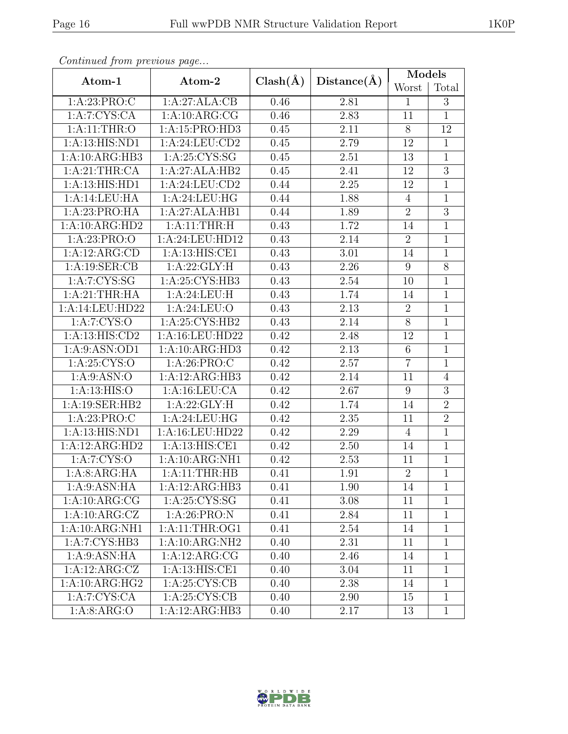|                             |                            |              |             | Models         |                |  |
|-----------------------------|----------------------------|--------------|-------------|----------------|----------------|--|
| Atom-1                      | Atom-2                     | $Clash(\AA)$ | Distance(A) | Worst          | Total          |  |
| 1:A:23:PRO:C                | 1:A:27:ALA:CB              | 0.46         | 2.81        | $\mathbf{1}$   | 3              |  |
| 1:A:7:CYS:CA                | 1:A:10:ARG:CG              | 0.46         | 2.83        | 11             | $\mathbf{1}$   |  |
| 1: A:11:THR:O               | 1:A:15:PRO:HD3             | 0.45         | 2.11        | 8              | 12             |  |
| 1:A:13:HIS:ND1              | 1:A:24:LEU:CD2             | 0.45         | 2.79        | 12             | $\mathbf{1}$   |  |
| 1:A:10:ARG:HB3              | 1: A:25: CYS:SG            | 0.45         | 2.51        | 13             | $\mathbf{1}$   |  |
| 1: A:21:THR:CA              | 1:A:27:ALA:HB2             | 0.45         | 2.41        | 12             | $\overline{3}$ |  |
| 1:A:13:HIS:HD1              | 1:A:24:LEU:CD2             | 0.44         | 2.25        | 12             | $\overline{1}$ |  |
| 1:A:14:LEU:HA               | 1:A:24:LEU:HG              | 0.44         | 1.88        | $\overline{4}$ | $\mathbf{1}$   |  |
| 1:A:23:PRO:HA               | 1:A:27:ALA:HB1             | 0.44         | 1.89        | $\overline{2}$ | $\overline{3}$ |  |
| 1:A:10:ARG:HD2              | 1: A:11:THR:H              | 0.43         | 1.72        | 14             | $\mathbf{1}$   |  |
| 1:A:23:PRO:O                | 1: A:24:LEU:HD12           | 0.43         | 2.14        | $\overline{2}$ | $\mathbf{1}$   |  |
| 1:A:12:ARG:CD               | 1: A:13: HIS: CE1          | 0.43         | 3.01        | 14             | $\mathbf{1}$   |  |
| 1: A:19: SER:CB             | 1:A:22:GLY:H               | 0.43         | 2.26        | 9              | $8\,$          |  |
| 1: A: 7: CYS: SG            | 1:A:25:CYS:HB3             | 0.43         | 2.54        | 10             | $\mathbf{1}$   |  |
| 1:A:21:THR:HA               | 1: A:24:LEU:H              | 0.43         | 1.74        | 14             | $\mathbf{1}$   |  |
| 1:A:14:LEU:HD22             | 1: A:24:LEU:O              | 0.43         | 2.13        | $\overline{2}$ | $\overline{1}$ |  |
| 1: A: 7: CYS: O             | 1: A:25: CYS:HB2           | 0.43         | 2.14        | 8              | $\mathbf{1}$   |  |
| $1:A:13:\overline{HIS:CD2}$ | 1:A:16:LEU:HD22            | 0.42         | 2.48        | 12             | $\mathbf{1}$   |  |
| 1: A:9: ASN: OD1            | 1:A:10:ARG:HD3             | 0.42         | 2.13        | $6\phantom{.}$ | $\mathbf{1}$   |  |
| 1:A:25:CYS:O                | 1:A:26:PRO:C               | 0.42         | 2.57        | $\overline{7}$ | $\mathbf{1}$   |  |
| 1: A:9: ASN:O               | 1:A:12:ARG:HB3             | 0.42         | 2.14        | 11             | $\overline{4}$ |  |
| 1: A:13: HIS:O              | 1:A:16:LEU:CA              | 0.42         | 2.67        | $9\phantom{.}$ | 3              |  |
| 1:A:19:SER:HB2              | 1:A:22:GLY:H               | 0.42         | 1.74        | 14             | $\overline{2}$ |  |
| 1:A:23:PRO:C                | 1:A:24:LEU:HG              | 0.42         | 2.35        | 11             | $\overline{2}$ |  |
| 1:A:13:HIS:ND1              | 1:A:16:LEU:HD22            | 0.42         | 2.29        | $\overline{4}$ | $\mathbf{1}$   |  |
| 1:A:12:ARG:HD2              | 1:A:13:HIS:CE1             | 0.42         | 2.50        | 14             | $\overline{1}$ |  |
| 1: A: 7: CYS: O             | 1:A:10:ARG:NH1             | 0.42         | 2.53        | 11             | $\mathbf{1}$   |  |
| 1:A:8:ARG:HA                | 1:A:11:THR:HB              | 0.41         | 1.91        | $\overline{2}$ | $\mathbf{1}$   |  |
| 1: A:9: ASN: HA             | 1:A:12:ARG:HB3             | 0.41         | 1.90        | 14             | $\mathbf 1$    |  |
| 1:A:10:ARG:CG               | 1:A:25:CYS:SG              | 0.41         | 3.08        | 11             | $\mathbf{1}$   |  |
| 1:A:10:ARG:CZ               | 1: A:26: PRO: N            | 0.41         | 2.84        | 11             | $\mathbf{1}$   |  |
| 1:A:10:ARG:NH1              | $1:$ A:11:THR:OG1          | 0.41         | 2.54        | 14             | $\mathbf{1}$   |  |
| 1:A:7:CYS:HB3               | 1:A:10:ARG:NH2             | 0.40         | 2.31        | 11             | $\mathbf{1}$   |  |
| 1: A:9: ASN: HA             | 1:A:12:ARG:CG              | 0.40         | 2.46        | 14             | $\mathbf{1}$   |  |
| 1:A:12:ARG:CZ               | 1:A:13:HIS:CE1             | 0.40         | 3.04        | 11             | $\mathbf{1}$   |  |
| 1:A:10:ARG:HG2              | 1:A:25:CYS:CB              | 0.40         | 2.38        | 14             | $\mathbf{1}$   |  |
| 1:A:7:CYS:CA                | $1:A:25:CY\overline{S:C}B$ | 0.40         | 2.90        | 15             | $\mathbf{1}$   |  |
| 1: A:8: ARG:O               | 1:A:12:ARG:HB3             | 0.40         | 2.17        | 13             | $\mathbf{1}$   |  |

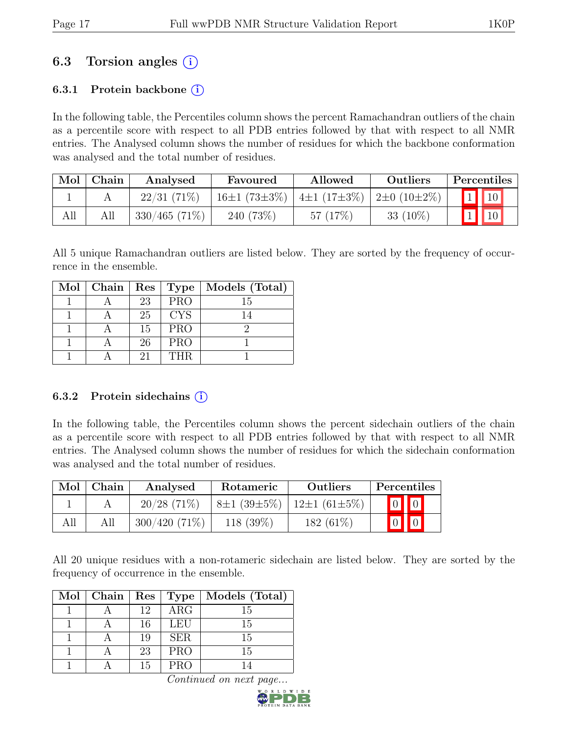## 6.3 Torsion angles  $(i)$

### 6.3.1 Protein backbone  $(i)$

In the following table, the Percentiles column shows the percent Ramachandran outliers of the chain as a percentile score with respect to all PDB entries followed by that with respect to all NMR entries. The Analysed column shows the number of residues for which the backbone conformation was analysed and the total number of residues.

|     | Mol   Chain | Analysed         | Favoured                                 | Allowed    | Outliers   | Percentiles              |
|-----|-------------|------------------|------------------------------------------|------------|------------|--------------------------|
|     |             | $22/31(71\%)$    | 16±1 (73±3%)   4±1 (17±3%)   2±0 (10±2%) |            |            | $\boxed{1}$ $\boxed{10}$ |
| All |             | $330/465$ (71\%) | 240 (73%)                                | 57 $(17%)$ | $33(10\%)$ |                          |

All 5 unique Ramachandran outliers are listed below. They are sorted by the frequency of occurrence in the ensemble.

| Mol   Chain   Res   Type |    |            | Models (Total) |
|--------------------------|----|------------|----------------|
|                          | 23 | <b>PRO</b> | 15             |
|                          | 25 | <b>CYS</b> | 14             |
|                          | 15 | <b>PRO</b> |                |
|                          | 26 | <b>PRO</b> |                |
|                          | 21 | <b>THR</b> |                |

#### 6.3.2 Protein sidechains  $(i)$

In the following table, the Percentiles column shows the percent sidechain outliers of the chain as a percentile score with respect to all PDB entries followed by that with respect to all NMR entries. The Analysed column shows the number of residues for which the sidechain conformation was analysed and the total number of residues.

| $\operatorname{Mol}$ | Chain | Analysed        | Rotameric   | <b>Outliers</b>                         | Percentiles             |
|----------------------|-------|-----------------|-------------|-----------------------------------------|-------------------------|
|                      |       | $20/28$ (71\%)  |             | $8\pm1(39\pm5\%)$   12 $\pm1(61\pm5\%)$ | $\boxed{0}$ $\boxed{0}$ |
| All                  | All   | $300/420(71\%)$ | $118(39\%)$ | 182 $(61\%)$                            | $\boxed{0}$ $\boxed{0}$ |

All 20 unique residues with a non-rotameric sidechain are listed below. They are sorted by the frequency of occurrence in the ensemble.

| $Mol$   Chain | Res | Type       | Models (Total) |
|---------------|-----|------------|----------------|
|               | 12  | $\rm{ARG}$ | 15             |
|               | 16  | <b>LEU</b> | 15             |
|               | 19  | <b>SER</b> | 15             |
|               | 23  | <b>PRO</b> | 15             |
|               | 15  | <b>PRO</b> |                |

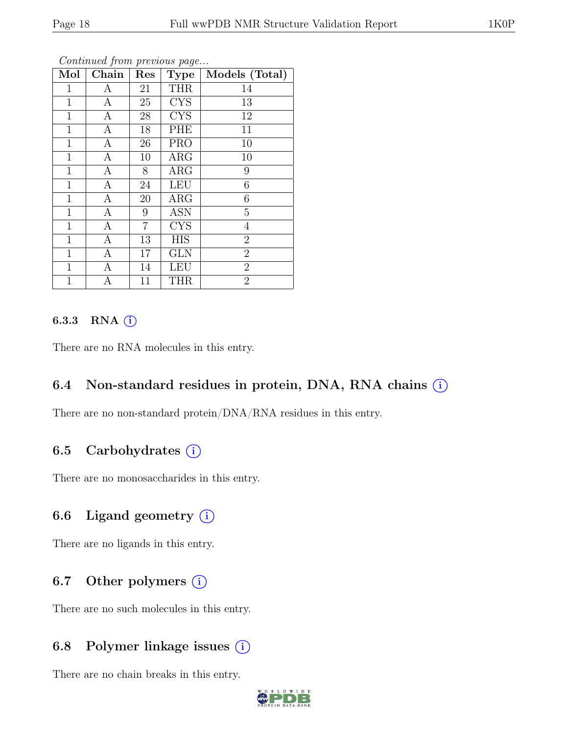| Mol          | Chain            | Res            | <b>Type</b> | Models (Total)  |
|--------------|------------------|----------------|-------------|-----------------|
| 1            | А                | 21             | <b>THR</b>  | 14              |
| 1            | $\boldsymbol{A}$ | 25             | <b>CYS</b>  | 13              |
| $\mathbf 1$  | A                | 28             | <b>CYS</b>  | 12              |
| 1            | A                | 18             | PHE         | 11              |
| $\mathbf{1}$ | $\mathbf{A}$     | 26             | <b>PRO</b>  | 10              |
| $\mathbf{1}$ | A                | 10             | $\rm{ARG}$  | 10              |
| 1            | A                | 8              | $\rm{ARG}$  | $9\phantom{.0}$ |
| $\mathbf{1}$ | $\mathbf{A}$     | 24             | <b>LEU</b>  | $\,6$           |
| 1            | A                | 20             | $\rm{ARG}$  | 6               |
| 1            | A                | 9              | <b>ASN</b>  | $\overline{5}$  |
| $\mathbf{1}$ | $\mathbf{A}$     | $\overline{7}$ | <b>CYS</b>  | $\overline{4}$  |
| 1            | $\boldsymbol{A}$ | 13             | <b>HIS</b>  | $\overline{2}$  |
| $\mathbf{1}$ | $\boldsymbol{A}$ | 17             | <b>GLN</b>  | $\overline{2}$  |
| 1            | A                | 14             | <b>LEU</b>  | $\overline{2}$  |
| 1            | A                | 11             | <b>THR</b>  | $\overline{2}$  |

#### 6.3.3 RNA  $(i)$

There are no RNA molecules in this entry.

#### 6.4 Non-standard residues in protein, DNA, RNA chains  $(i)$

There are no non-standard protein/DNA/RNA residues in this entry.

### 6.5 Carbohydrates  $(i)$

There are no monosaccharides in this entry.

### 6.6 Ligand geometry  $(i)$

There are no ligands in this entry.

### 6.7 Other polymers  $(i)$

There are no such molecules in this entry.

## 6.8 Polymer linkage issues (i)

There are no chain breaks in this entry.